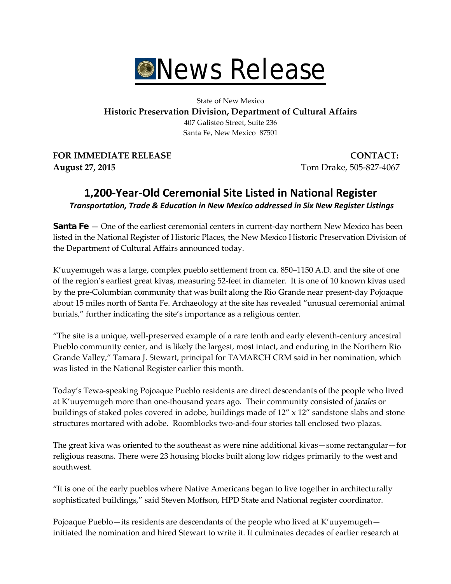

State of New Mexico **Historic Preservation Division, Department of Cultural Affairs** 407 Galisteo Street, Suite 236 Santa Fe, New Mexico 87501

**FOR IMMEDIATE RELEASE CONTACT: August 27, 2015** Tom Drake, 505-827-4067

# **1,200-Year-Old Ceremonial Site Listed in National Register** *Transportation, Trade & Education in New Mexico addressed in Six New Register Listings*

**Santa Fe —** One of the earliest ceremonial centers in current-day northern New Mexico has been listed in the National Register of Historic Places, the New Mexico Historic Preservation Division of the Department of Cultural Affairs announced today.

K'uuyemugeh was a large, complex pueblo settlement from ca. 850–1150 A.D. and the site of one of the region's earliest great kivas, measuring 52-feet in diameter. It is one of 10 known kivas used by the pre-Columbian community that was built along the Rio Grande near present-day Pojoaque about 15 miles north of Santa Fe. Archaeology at the site has revealed "unusual ceremonial animal burials," further indicating the site's importance as a religious center.

"The site is a unique, well-preserved example of a rare tenth and early eleventh-century ancestral Pueblo community center, and is likely the largest, most intact, and enduring in the Northern Rio Grande Valley," Tamara J. Stewart, principal for TAMARCH CRM said in her nomination, which was listed in the National Register earlier this month.

Today's Tewa-speaking Pojoaque Pueblo residents are direct descendants of the people who lived at K'uuyemugeh more than one-thousand years ago. Their community consisted of *jacales* or buildings of staked poles covered in adobe, buildings made of  $12'' \times 12''$  sandstone slabs and stone structures mortared with adobe. Roomblocks two-and-four stories tall enclosed two plazas.

The great kiva was oriented to the southeast as were nine additional kivas—some rectangular—for religious reasons. There were 23 housing blocks built along low ridges primarily to the west and southwest.

"It is one of the early pueblos where Native Americans began to live together in architecturally sophisticated buildings," said Steven Moffson, HPD State and National register coordinator.

Pojoaque Pueblo—its residents are descendants of the people who lived at K'uuyemugeh initiated the nomination and hired Stewart to write it. It culminates decades of earlier research at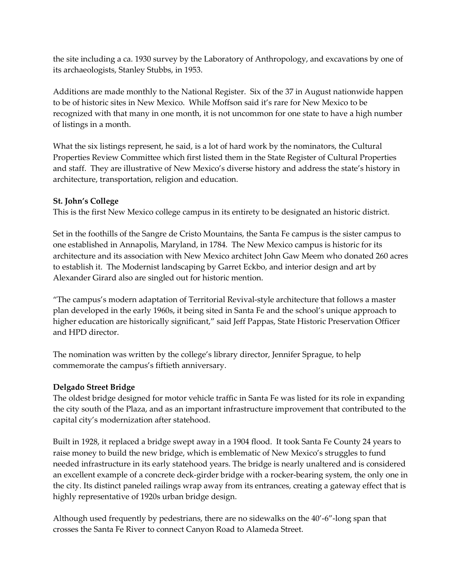the site including a ca. 1930 survey by the Laboratory of Anthropology, and excavations by one of its archaeologists, Stanley Stubbs, in 1953.

Additions are made monthly to the National Register. Six of the 37 in August nationwide happen to be of historic sites in New Mexico. While Moffson said it's rare for New Mexico to be recognized with that many in one month, it is not uncommon for one state to have a high number of listings in a month.

What the six listings represent, he said, is a lot of hard work by the nominators, the Cultural Properties Review Committee which first listed them in the State Register of Cultural Properties and staff. They are illustrative of New Mexico's diverse history and address the state's history in architecture, transportation, religion and education.

### **St. John's College**

This is the first New Mexico college campus in its entirety to be designated an historic district.

Set in the foothills of the Sangre de Cristo Mountains, the Santa Fe campus is the sister campus to one established in Annapolis, Maryland, in 1784. The New Mexico campus is historic for its architecture and its association with New Mexico architect John Gaw Meem who donated 260 acres to establish it. The Modernist landscaping by Garret Eckbo, and interior design and art by Alexander Girard also are singled out for historic mention.

"The campus's modern adaptation of Territorial Revival-style architecture that follows a master plan developed in the early 1960s, it being sited in Santa Fe and the school's unique approach to higher education are historically significant," said Jeff Pappas, State Historic Preservation Officer and HPD director.

The nomination was written by the college's library director, Jennifer Sprague, to help commemorate the campus's fiftieth anniversary.

# **Delgado Street Bridge**

The oldest bridge designed for motor vehicle traffic in Santa Fe was listed for its role in expanding the city south of the Plaza, and as an important infrastructure improvement that contributed to the capital city's modernization after statehood.

Built in 1928, it replaced a bridge swept away in a 1904 flood. It took Santa Fe County 24 years to raise money to build the new bridge, which is emblematic of New Mexico's struggles to fund needed infrastructure in its early statehood years. The bridge is nearly unaltered and is considered an excellent example of a concrete deck-girder bridge with a rocker-bearing system, the only one in the city. Its distinct paneled railings wrap away from its entrances, creating a gateway effect that is highly representative of 1920s urban bridge design.

Although used frequently by pedestrians, there are no sidewalks on the 40'-6"-long span that crosses the Santa Fe River to connect Canyon Road to Alameda Street.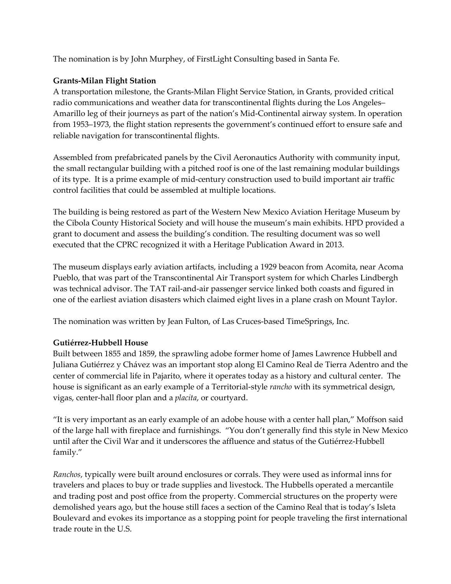The nomination is by John Murphey, of FirstLight Consulting based in Santa Fe.

## **Grants-Milan Flight Station**

A transportation milestone, the Grants-Milan Flight Service Station, in Grants, provided critical radio communications and weather data for transcontinental flights during the Los Angeles– Amarillo leg of their journeys as part of the nation's Mid-Continental airway system. In operation from 1953–1973, the flight station represents the government's continued effort to ensure safe and reliable navigation for transcontinental flights.

Assembled from prefabricated panels by the Civil Aeronautics Authority with community input, the small rectangular building with a pitched roof is one of the last remaining modular buildings of its type. It is a prime example of mid-century construction used to build important air traffic control facilities that could be assembled at multiple locations.

The building is being restored as part of the Western New Mexico Aviation Heritage Museum by the Cibola County Historical Society and will house the museum's main exhibits. HPD provided a grant to document and assess the building's condition. The resulting document was so well executed that the CPRC recognized it with a Heritage Publication Award in 2013.

The museum displays early aviation artifacts, including a 1929 beacon from Acomita, near Acoma Pueblo, that was part of the Transcontinental Air Transport system for which Charles Lindbergh was technical advisor. The TAT rail-and-air passenger service linked both coasts and figured in one of the earliest aviation disasters which claimed eight lives in a plane crash on Mount Taylor.

The nomination was written by Jean Fulton, of Las Cruces-based TimeSprings, Inc.

### **Gutiérrez-Hubbell House**

Built between 1855 and 1859, the sprawling adobe former home of James Lawrence Hubbell and Juliana Gutiérrez y Chávez was an important stop along El Camino Real de Tierra Adentro and the center of commercial life in Pajarito, where it operates today as a history and cultural center. The house is significant as an early example of a Territorial-style *rancho* with its symmetrical design, vigas, center-hall floor plan and a *placita*, or courtyard.

"It is very important as an early example of an adobe house with a center hall plan," Moffson said of the large hall with fireplace and furnishings. "You don't generally find this style in New Mexico until after the Civil War and it underscores the affluence and status of the Gutiérrez-Hubbell family."

*Ranchos*, typically were built around enclosures or corrals. They were used as informal inns for travelers and places to buy or trade supplies and livestock. The Hubbells operated a mercantile and trading post and post office from the property. Commercial structures on the property were demolished years ago, but the house still faces a section of the Camino Real that is today's Isleta Boulevard and evokes its importance as a stopping point for people traveling the first international trade route in the U.S.